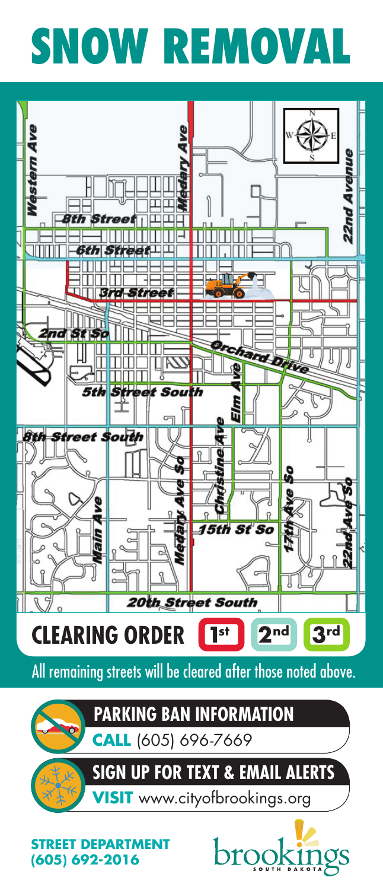# **SNOW REMOVAL SNOW REMOVAL**



**STREET DEPARTMENT STREET DEPARTMENT (605) 692-2016**